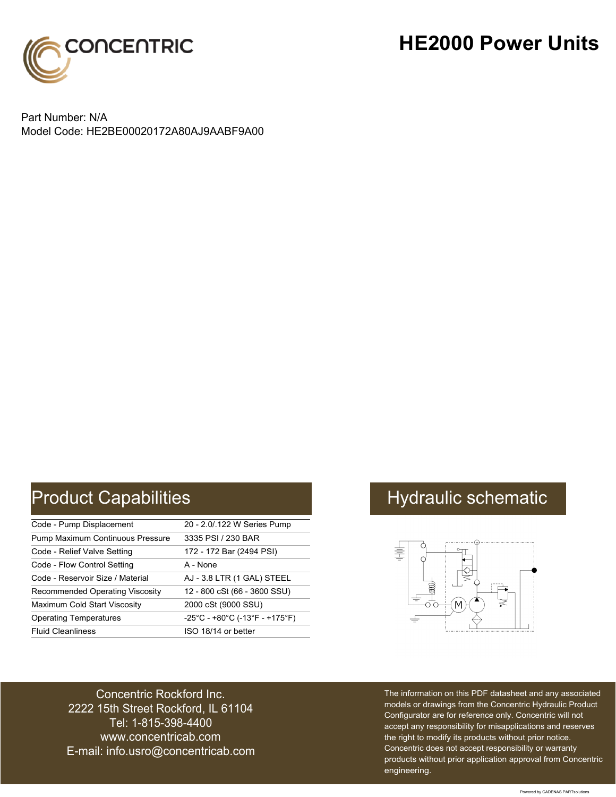

### **HE2000 Power Units**

Part Number: N/A Model Code: HE2BE00020172A80AJ9AABF9A00

# Product Capabilities **Hydraulic schematic** Hydraulic schematic

| Code - Pump Displacement               | 20 - 2.0/.122 W Series Pump                                               |
|----------------------------------------|---------------------------------------------------------------------------|
| Pump Maximum Continuous Pressure       | 3335 PSI / 230 BAR                                                        |
| Code - Relief Valve Setting            | 172 - 172 Bar (2494 PSI)                                                  |
| Code - Flow Control Setting            | A - None                                                                  |
| Code - Reservoir Size / Material       | AJ - 3.8 LTR (1 GAL) STEEL                                                |
| <b>Recommended Operating Viscosity</b> | 12 - 800 cSt (66 - 3600 SSU)                                              |
| Maximum Cold Start Viscosity           | 2000 cSt (9000 SSU)                                                       |
| <b>Operating Temperatures</b>          | $-25^{\circ}$ C - +80 $^{\circ}$ C (-13 $^{\circ}$ F - +175 $^{\circ}$ F) |
| <b>Fluid Cleanliness</b>               | ISO 18/14 or better                                                       |



Concentric Rockford Inc. 2222 15th Street Rockford, IL 61104 Tel: 1-815-398-4400 [www.concentricab.com](www.concentrichydraulics.com) E-mail: [info.usro@concentrica](mailto://info.usro@concentricab.com)b.com The information on this PDF datasheet and any associated models or drawings from the Concentric Hydraulic Product Configurator are for reference only. Concentric will not accept any responsibility for misapplications and reserves the right to modify its products without prior notice. Concentric does not accept responsibility or warranty products without prior application approval from Concentric engineering.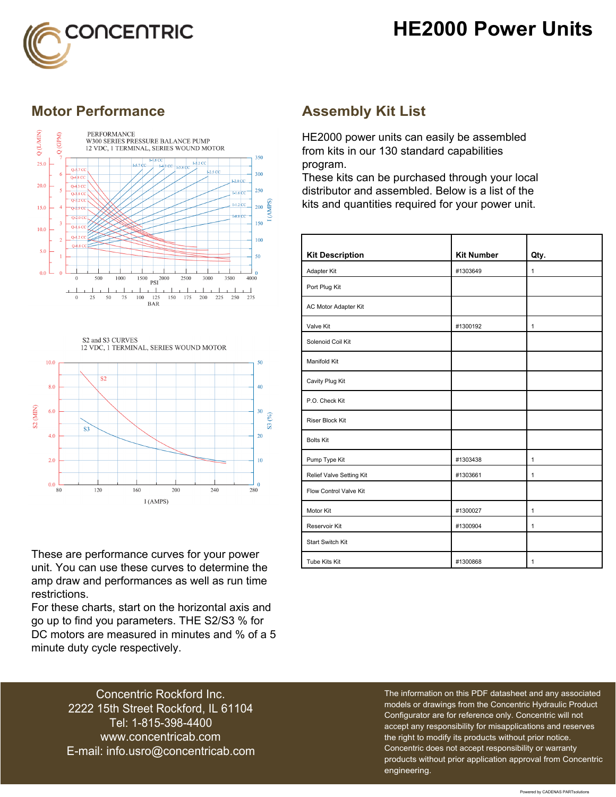## **HE2000 Power Units**



### **Motor Performance Assembly Kit List**



S2 and S3 CURVES 12 VDC, 1 TERMINAL, SERIES WOUND MOTOR



These are performance curves for your power unit. You can use these curves to determine the amp draw and performances as well as run time restrictions.

For these charts, start on the horizontal axis and go up to find you parameters. THE S2/S3 % for DC motors are measured in minutes and % of a 5 minute duty cycle respectively.

HE2000 power units can easily be assembled from kits in our 130 standard capabilities program.

These kits can be purchased through your local distributor and assembled. Below is a list of the kits and quantities required for your power unit.

| <b>Kit Description</b>   | <b>Kit Number</b> | Qty.         |
|--------------------------|-------------------|--------------|
| Adapter Kit              | #1303649          | $\mathbf{1}$ |
| Port Plug Kit            |                   |              |
| AC Motor Adapter Kit     |                   |              |
| Valve Kit                | #1300192          | $\mathbf{1}$ |
| Solenoid Coil Kit        |                   |              |
| Manifold Kit             |                   |              |
| Cavity Plug Kit          |                   |              |
| P.O. Check Kit           |                   |              |
| <b>Riser Block Kit</b>   |                   |              |
| <b>Bolts Kit</b>         |                   |              |
| Pump Type Kit            | #1303438          | $\mathbf{1}$ |
| Relief Valve Setting Kit | #1303661          | $\mathbf{1}$ |
| Flow Control Valve Kit   |                   |              |
| Motor Kit                | #1300027          | $\mathbf{1}$ |
| Reservoir Kit            | #1300904          | $\mathbf{1}$ |
| <b>Start Switch Kit</b>  |                   |              |
| Tube Kits Kit            | #1300868          | $\mathbf{1}$ |

Concentric Rockford Inc. 2222 15th Street Rockford, IL 61104 Tel: 1-815-398-4400 [www.concentricab.com](www.concentrichydraulics.com) E-mail: [info.usro@concentrica](mailto://info.usro@concentricab.com)b.com The information on this PDF datasheet and any associated models or drawings from the Concentric Hydraulic Product Configurator are for reference only. Concentric will not accept any responsibility for misapplications and reserves the right to modify its products without prior notice. Concentric does not accept responsibility or warranty products without prior application approval from Concentric engineering.